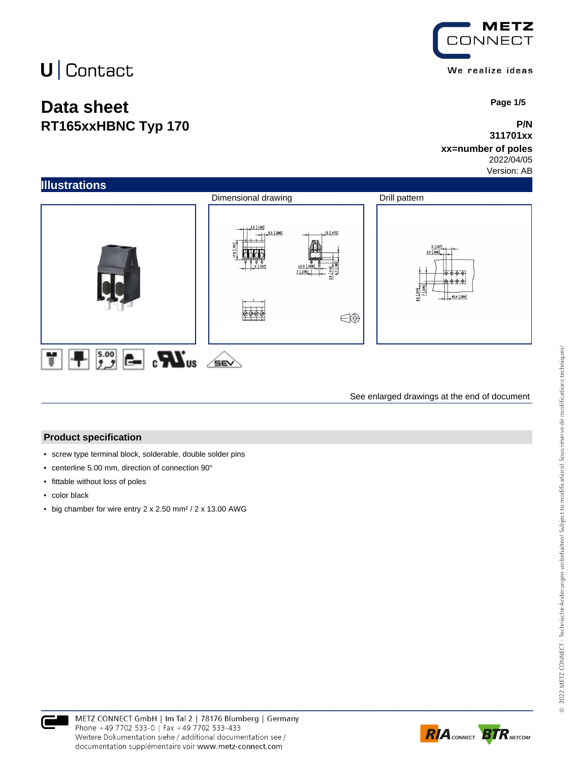## **Data sheet RT165xxHBNC Typ 170**



 **Page 1/5**

#### **P/N 311701xx**

### **xx=number of poles**

2022/04/05 Version: AB



See enlarged drawings at the end of document

#### **Product specification**

- screw type terminal block, solderable, double solder pins
- centerline 5.00 mm, direction of connection 90°
- fittable without loss of poles
- color black
- big chamber for wire entry 2 x 2.50 mm² / 2 x 13.00 AWG



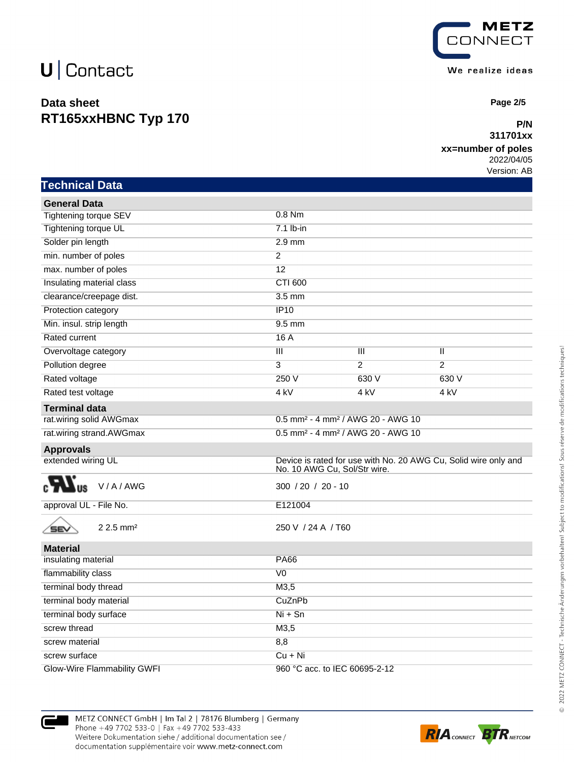## **Data sheet RT165xxHBNC Typ 170**



 **Page 2/5**

### **P/N 311701xx**

### **xx=number of poles**

2022/04/05 Version: AB

| <b>Technical Data</b> |  |
|-----------------------|--|
|                       |  |

| <b>General Data</b>                   |                                                           |                 |                                                                 |
|---------------------------------------|-----------------------------------------------------------|-----------------|-----------------------------------------------------------------|
| Tightening torque SEV                 | $0.8$ Nm                                                  |                 |                                                                 |
| Tightening torque UL                  | $7.1$ lb-in                                               |                 |                                                                 |
| Solder pin length                     | $2.9$ mm                                                  |                 |                                                                 |
| min. number of poles                  | $\overline{2}$                                            |                 |                                                                 |
| max. number of poles                  | 12                                                        |                 |                                                                 |
| Insulating material class             | <b>CTI 600</b>                                            |                 |                                                                 |
| clearance/creepage dist.              | $3.5$ mm                                                  |                 |                                                                 |
| Protection category                   | IP10                                                      |                 |                                                                 |
| Min. insul. strip length              | 9.5 mm                                                    |                 |                                                                 |
| Rated current                         | 16A                                                       |                 |                                                                 |
| Overvoltage category                  | $\overline{\mathbf{H}}$                                   | Ш               | Ш                                                               |
| Pollution degree                      | 3                                                         | $\overline{2}$  | $\overline{2}$                                                  |
| Rated voltage                         | 250 V                                                     | 630 V           | 630 V                                                           |
| Rated test voltage                    | $4$ kV                                                    | 4 <sub>kV</sub> | 4 kV                                                            |
| <b>Terminal data</b>                  |                                                           |                 |                                                                 |
| rat.wiring solid AWGmax               | 0.5 mm <sup>2</sup> - 4 mm <sup>2</sup> / AWG 20 - AWG 10 |                 |                                                                 |
| rat.wiring strand.AWGmax              | 0.5 mm <sup>2</sup> - 4 mm <sup>2</sup> / AWG 20 - AWG 10 |                 |                                                                 |
| <b>Approvals</b>                      |                                                           |                 |                                                                 |
| extended wiring UL                    | No. 10 AWG Cu, Sol/Str wire.                              |                 | Device is rated for use with No. 20 AWG Cu, Solid wire only and |
| V/A/AWG<br><b>US</b>                  | $300 / 20 / 20 - 10$                                      |                 |                                                                 |
| approval UL - File No.                | E121004                                                   |                 |                                                                 |
| $2.2.5$ mm <sup>2</sup><br><b>SEV</b> | 250 V / 24 A / T60                                        |                 |                                                                 |
| <b>Material</b>                       |                                                           |                 |                                                                 |
| insulating material                   | <b>PA66</b>                                               |                 |                                                                 |
| flammability class                    | $\overline{V}$                                            |                 |                                                                 |
| terminal body thread                  | M3,5                                                      |                 |                                                                 |
| terminal body material                | CuZnPb                                                    |                 |                                                                 |
| terminal body surface                 | $Ni + Sn$                                                 |                 |                                                                 |
| screw thread                          | M3,5                                                      |                 |                                                                 |
| screw material                        | 8,8                                                       |                 |                                                                 |
| screw surface                         | $Cu + Ni$                                                 |                 |                                                                 |
| Glow-Wire Flammability GWFI           | 960 °C acc. to IEC 60695-2-12                             |                 |                                                                 |



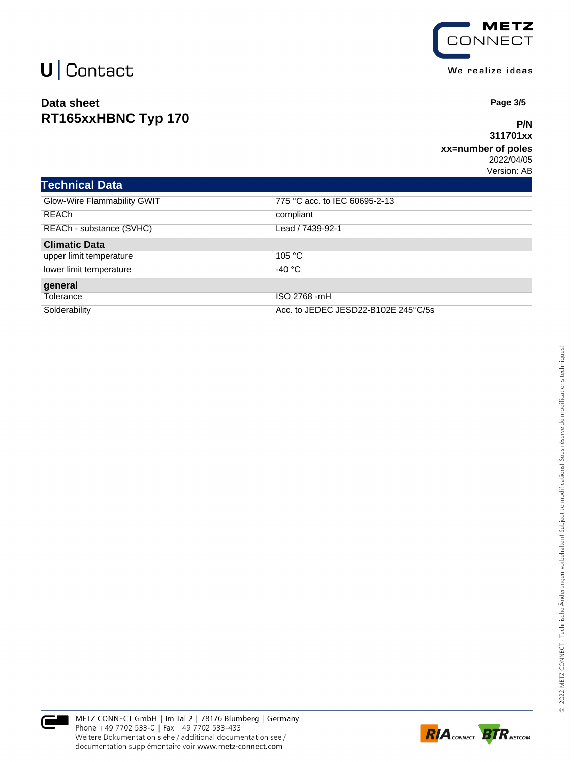## **Data sheet RT165xxHBNC Typ 170**



 **Page 3/5**

### **P/N 311701xx**

#### **xx=number of poles** 2022/04/05

Version: AB

| <b>Technical Data</b>       |                                     |
|-----------------------------|-------------------------------------|
| Glow-Wire Flammability GWIT | 775 °C acc. to IEC 60695-2-13       |
| <b>REACh</b>                | compliant                           |
| REACh - substance (SVHC)    | Lead / 7439-92-1                    |
| <b>Climatic Data</b>        |                                     |
| upper limit temperature     | 105 °C                              |
| lower limit temperature     | -40 °C                              |
| general                     |                                     |
| Tolerance                   | ISO 2768 -mH                        |
| Solderability               | Acc. to JEDEC JESD22-B102E 245°C/5s |



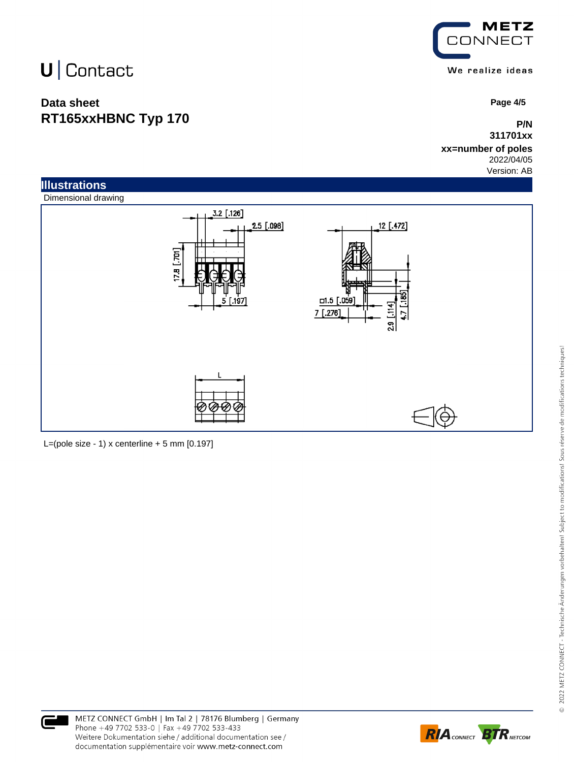## **Data sheet RT165xxHBNC Typ 170**



 **Page 4/5**

### **P/N 311701xx**

#### **xx=number of poles** 2022/04/05

Version: AB



L=(pole size - 1) x centerline  $+5$  mm  $[0.197]$